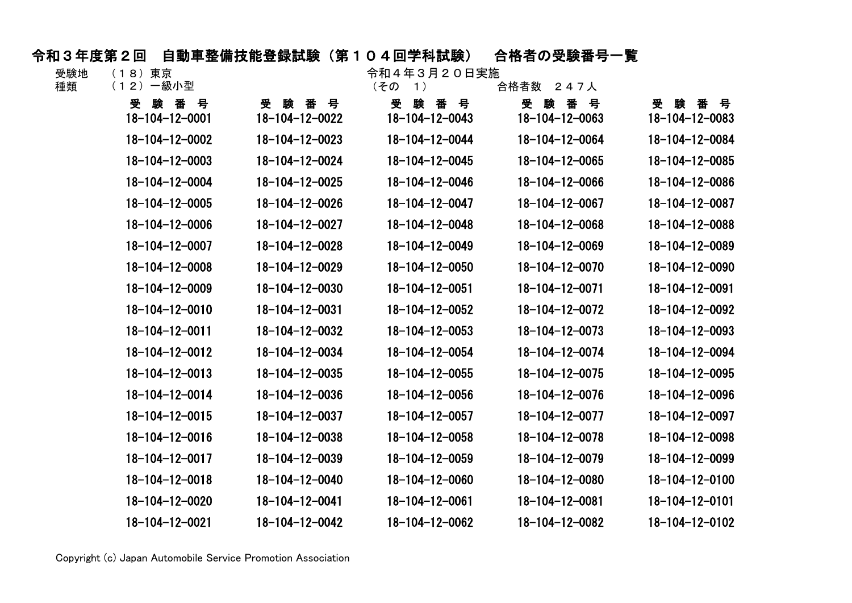## 令和3年度第2回 自動車整備技能登録試験(第104回学科試験) 合格者の受験番号一覧

| 受験地   | (18)東京 |       |
|-------|--------|-------|
| 工手 半石 | (10)   | 《九川八井 |

令和4年3月20日実施<br>(その 1) 会格考数 247人

| 種類 | (12)一級小型                   |                        | (その<br>$\left( \begin{array}{c} 1 \end{array} \right)$ | 合格者数 247人                  |                             |
|----|----------------------------|------------------------|--------------------------------------------------------|----------------------------|-----------------------------|
|    | 受<br>験番号<br>18-104-12-0001 | 受験番号<br>18-104-12-0022 | 풋<br>番 号<br>験<br>$18 - 104 - 12 - 0043$                | 受<br>験番号<br>18-104-12-0063 | 番号<br>受善験<br>18-104-12-0083 |
|    | 18-104-12-0002             | $18 - 104 - 12 - 0023$ | 18-104-12-0044                                         | 18-104-12-0064             | 18-104-12-0084              |
|    | $18 - 104 - 12 - 0003$     | 18-104-12-0024         | $18 - 104 - 12 - 0045$                                 | 18-104-12-0065             | 18-104-12-0085              |
|    | 18-104-12-0004             | 18-104-12-0025         | 18-104-12-0046                                         | 18-104-12-0066             | 18-104-12-0086              |
|    | 18-104-12-0005             | 18-104-12-0026         | 18-104-12-0047                                         | 18-104-12-0067             | 18-104-12-0087              |
|    | $18 - 104 - 12 - 0006$     | 18-104-12-0027         | $18 - 104 - 12 - 0048$                                 | 18-104-12-0068             | 18-104-12-0088              |
|    | 18-104-12-0007             | 18-104-12-0028         | 18-104-12-0049                                         | 18-104-12-0069             | 18-104-12-0089              |
|    | $18 - 104 - 12 - 0008$     | 18-104-12-0029         | $18 - 104 - 12 - 0050$                                 | 18-104-12-0070             | 18-104-12-0090              |
|    | 18-104-12-0009             | $18 - 104 - 12 - 0030$ | $18 - 104 - 12 - 0051$                                 | $18 - 104 - 12 - 0071$     | 18-104-12-0091              |
|    | $18 - 104 - 12 - 0010$     | 18-104-12-0031         | $18 - 104 - 12 - 0052$                                 | 18-104-12-0072             | 18-104-12-0092              |
|    | $18 - 104 - 12 - 0011$     | 18-104-12-0032         | $18 - 104 - 12 - 0053$                                 | $18 - 104 - 12 - 0073$     | $18 - 104 - 12 - 0093$      |
|    | $18 - 104 - 12 - 0012$     | $18 - 104 - 12 - 0034$ | 18-104-12-0054                                         | 18-104-12-0074             | 18-104-12-0094              |
|    | $18 - 104 - 12 - 0013$     | $18 - 104 - 12 - 0035$ | $18 - 104 - 12 - 0055$                                 | $18 - 104 - 12 - 0075$     | $18 - 104 - 12 - 0095$      |
|    | $18 - 104 - 12 - 0014$     | $18 - 104 - 12 - 0036$ | $18 - 104 - 12 - 0056$                                 | $18 - 104 - 12 - 0076$     | 18-104-12-0096              |
|    | $18 - 104 - 12 - 0015$     | $18 - 104 - 12 - 0037$ | $18 - 104 - 12 - 0057$                                 | 18-104-12-0077             | 18-104-12-0097              |
|    | $18 - 104 - 12 - 0016$     | 18-104-12-0038         | $18 - 104 - 12 - 0058$                                 | 18-104-12-0078             | 18-104-12-0098              |
|    | 18-104-12-0017             | $18 - 104 - 12 - 0039$ | 18-104-12-0059                                         | 18-104-12-0079             | 18-104-12-0099              |
|    | $18 - 104 - 12 - 0018$     | $18 - 104 - 12 - 0040$ | $18 - 104 - 12 - 0060$                                 | 18-104-12-0080             | 18-104-12-0100              |
|    | 18-104-12-0020             | $18 - 104 - 12 - 0041$ | $18 - 104 - 12 - 0061$                                 | 18-104-12-0081             | $18 - 104 - 12 - 0101$      |
|    | 18-104-12-0021             | 18-104-12-0042         | 18-104-12-0062                                         | 18-104-12-0082             | 18-104-12-0102              |

Copyright (c) Japan Automobile Service Promotion Association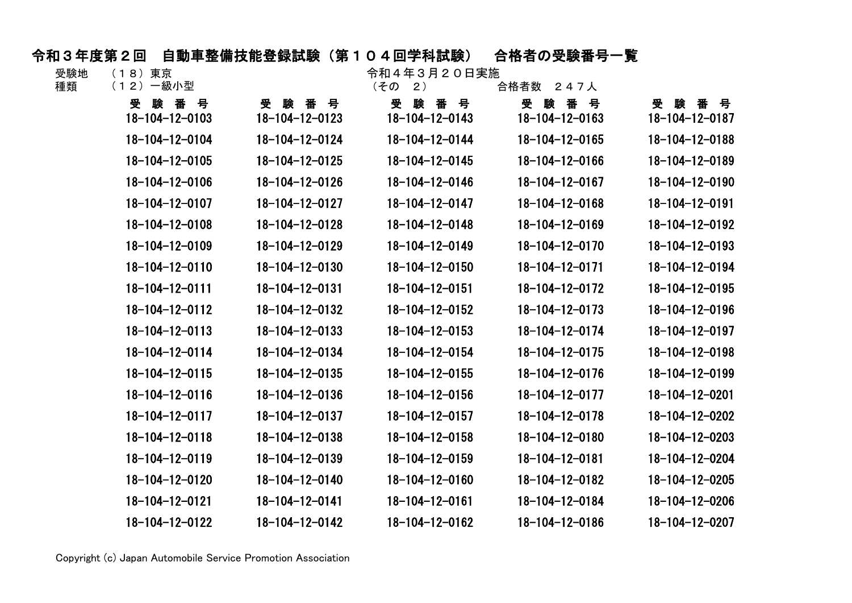## 令和3年度第2回 自動車整備技能登録試験(第104回学科試験) 合格者の受験番号一覧

| 受験地   | (18)東京 |  |
|-------|--------|--|
| 壬壬 半石 |        |  |

(18)東京 令和4年3月20日実施

| 種類 | (12)一級小型                     |                                | (その<br>2)                          | 合格者数 247人                            |                                |
|----|------------------------------|--------------------------------|------------------------------------|--------------------------------------|--------------------------------|
|    | 験 番 号<br>受<br>18-104-12-0103 | 受験番号<br>$18 - 104 - 12 - 0123$ | 풋<br>験番号<br>$18 - 104 - 12 - 0143$ | 受<br>験 番 号<br>$18 - 104 - 12 - 0163$ | 受験番号<br>$18 - 104 - 12 - 0187$ |
|    | $18 - 104 - 12 - 0104$       | $18 - 104 - 12 - 0124$         | $18 - 104 - 12 - 0144$             | 18-104-12-0165                       | 18-104-12-0188                 |
|    | $18 - 104 - 12 - 0105$       | $18 - 104 - 12 - 0125$         | $18 - 104 - 12 - 0145$             | $18 - 104 - 12 - 0166$               | $18 - 104 - 12 - 0189$         |
|    | $18 - 104 - 12 - 0106$       | $18 - 104 - 12 - 0126$         | $18 - 104 - 12 - 0146$             | 18-104-12-0167                       | 18-104-12-0190                 |
|    | 18-104-12-0107               | 18-104-12-0127                 | $18 - 104 - 12 - 0147$             | $18 - 104 - 12 - 0168$               | 18-104-12-0191                 |
|    | $18 - 104 - 12 - 0108$       | $18 - 104 - 12 - 0128$         | $18 - 104 - 12 - 0148$             | $18 - 104 - 12 - 0169$               | 18-104-12-0192                 |
|    | 18-104-12-0109               | 18-104-12-0129                 | 18-104-12-0149                     | 18-104-12-0170                       | $18 - 104 - 12 - 0193$         |
|    | 18-104-12-0110               | $18 - 104 - 12 - 0130$         | $18 - 104 - 12 - 0150$             | 18-104-12-0171                       | 18-104-12-0194                 |
|    | 18-104-12-0111               | $18 - 104 - 12 - 0131$         | $18 - 104 - 12 - 0151$             | 18-104-12-0172                       | $18 - 104 - 12 - 0195$         |
|    | $18 - 104 - 12 - 0112$       | $18 - 104 - 12 - 0132$         | $18 - 104 - 12 - 0152$             | $18 - 104 - 12 - 0173$               | $18 - 104 - 12 - 0196$         |
|    | $18 - 104 - 12 - 0113$       | 18-104-12-0133                 | $18 - 104 - 12 - 0153$             | $18 - 104 - 12 - 0174$               | 18-104-12-0197                 |
|    | 18-104-12-0114               | $18 - 104 - 12 - 0134$         | $18 - 104 - 12 - 0154$             | $18 - 104 - 12 - 0175$               | 18-104-12-0198                 |
|    | $18 - 104 - 12 - 0115$       | $18 - 104 - 12 - 0135$         | $18 - 104 - 12 - 0155$             | $18 - 104 - 12 - 0176$               | 18-104-12-0199                 |
|    | $18 - 104 - 12 - 0116$       | $18 - 104 - 12 - 0136$         | $18 - 104 - 12 - 0156$             | $18 - 104 - 12 - 0177$               | 18-104-12-0201                 |
|    | $18 - 104 - 12 - 0117$       | $18 - 104 - 12 - 0137$         | $18 - 104 - 12 - 0157$             | $18 - 104 - 12 - 0178$               | 18-104-12-0202                 |
|    | $18 - 104 - 12 - 0118$       | $18 - 104 - 12 - 0138$         | $18 - 104 - 12 - 0158$             | 18-104-12-0180                       | 18-104-12-0203                 |
|    | 18-104-12-0119               | $18 - 104 - 12 - 0139$         | $18 - 104 - 12 - 0159$             | 18-104-12-0181                       | 18-104-12-0204                 |
|    | $18 - 104 - 12 - 0120$       | 18-104-12-0140                 | $18 - 104 - 12 - 0160$             | 18-104-12-0182                       | 18-104-12-0205                 |
|    | 18-104-12-0121               | $18 - 104 - 12 - 0141$         | $18 - 104 - 12 - 0161$             | 18-104-12-0184                       | $18 - 104 - 12 - 0206$         |
|    | 18-104-12-0122               | 18-104-12-0142                 | 18-104-12-0162                     | 18-104-12-0186                       | 18-104-12-0207                 |

Copyright (c) Japan Automobile Service Promotion Association